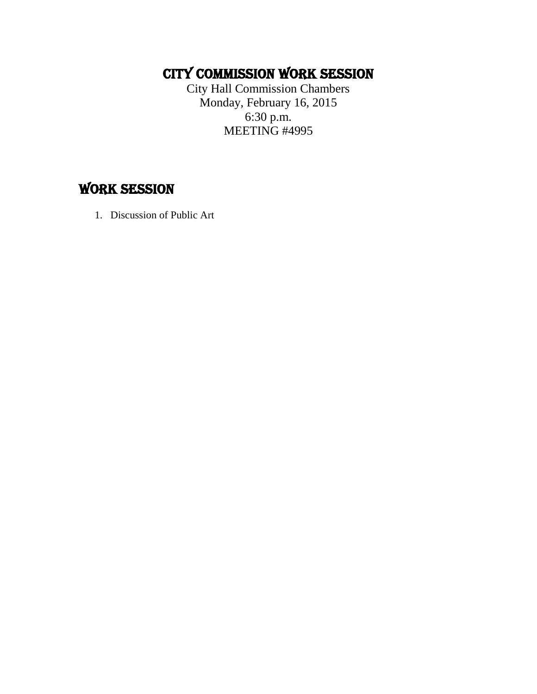## CITY COMMISSION work session

City Hall Commission Chambers Monday, February 16, 2015 6:30 p.m. MEETING #4995

### **WORK SESSION**

1. Discussion of Public Art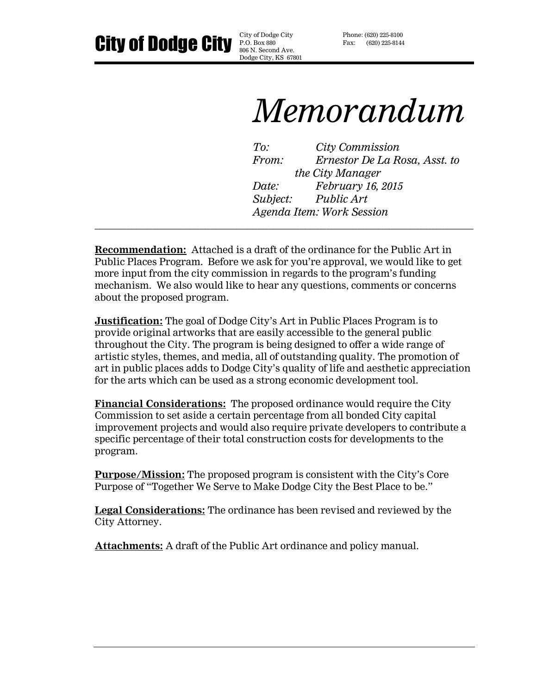**City of Dodge City**  $\frac{\text{City of Dodge City}}{\text{BOS. Bccond Ave}}$ 

806 N. Second Ave. Dodge City, KS 67801 Phone: (620) 225-8100 Fax: (620) 225-8144

# *Memorandum*

*To: City Commission From: Ernestor De La Rosa, Asst. to the City Manager Date: February 16, 2015 Subject: Public Art Agenda Item: Work Session \_\_\_\_\_\_\_\_\_\_\_\_\_\_\_\_\_\_\_\_\_\_\_\_\_\_\_\_\_\_\_\_\_\_\_\_\_\_\_\_\_\_\_\_\_\_\_\_\_\_\_\_\_\_\_\_\_\_\_\_\_\_\_\_\_\_\_\_\_\_\_\_*

**Recommendation:** Attached is a draft of the ordinance for the Public Art in Public Places Program. Before we ask for you're approval, we would like to get more input from the city commission in regards to the program's funding mechanism. We also would like to hear any questions, comments or concerns about the proposed program.

**Justification:** The goal of Dodge City's Art in Public Places Program is to provide original artworks that are easily accessible to the general public throughout the City. The program is being designed to offer a wide range of artistic styles, themes, and media, all of outstanding quality. The promotion of art in public places adds to Dodge City's quality of life and aesthetic appreciation for the arts which can be used as a strong economic development tool.

**Financial Considerations:** The proposed ordinance would require the City Commission to set aside a certain percentage from all bonded City capital improvement projects and would also require private developers to contribute a specific percentage of their total construction costs for developments to the program.

**Purpose/Mission:** The proposed program is consistent with the City's Core Purpose of "Together We Serve to Make Dodge City the Best Place to be."

**Legal Considerations:** The ordinance has been revised and reviewed by the City Attorney.

**Attachments:** A draft of the Public Art ordinance and policy manual.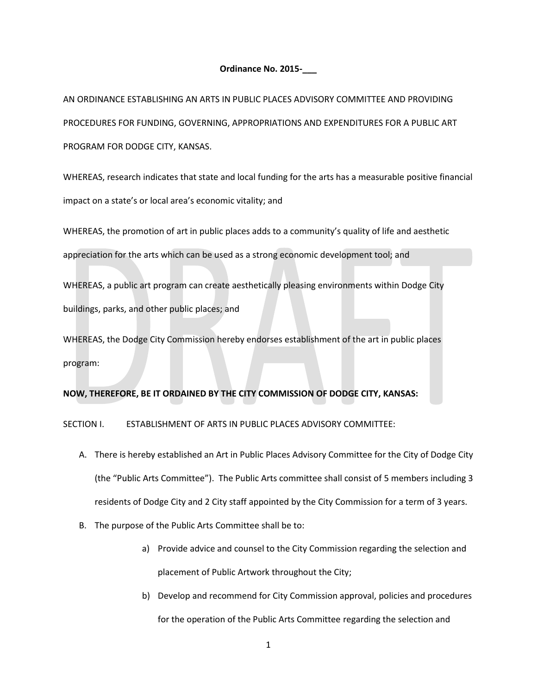#### **Ordinance No. 2015-\_\_\_**

AN ORDINANCE ESTABLISHING AN ARTS IN PUBLIC PLACES ADVISORY COMMITTEE AND PROVIDING PROCEDURES FOR FUNDING, GOVERNING, APPROPRIATIONS AND EXPENDITURES FOR A PUBLIC ART PROGRAM FOR DODGE CITY, KANSAS.

WHEREAS, research indicates that state and local funding for the arts has a measurable positive financial impact on a state's or local area's economic vitality; and

WHEREAS, the promotion of art in public places adds to a community's quality of life and aesthetic

appreciation for the arts which can be used as a strong economic development tool; and

WHEREAS, a public art program can create aesthetically pleasing environments within Dodge City buildings, parks, and other public places; and

WHEREAS, the Dodge City Commission hereby endorses establishment of the art in public places program:

### **NOW, THEREFORE, BE IT ORDAINED BY THE CITY COMMISSION OF DODGE CITY, KANSAS:**

SECTION I. ESTABLISHMENT OF ARTS IN PUBLIC PLACES ADVISORY COMMITTEE:

- A. There is hereby established an Art in Public Places Advisory Committee for the City of Dodge City (the "Public Arts Committee"). The Public Arts committee shall consist of 5 members including 3 residents of Dodge City and 2 City staff appointed by the City Commission for a term of 3 years.
- B. The purpose of the Public Arts Committee shall be to:
	- a) Provide advice and counsel to the City Commission regarding the selection and placement of Public Artwork throughout the City;
	- b) Develop and recommend for City Commission approval, policies and procedures for the operation of the Public Arts Committee regarding the selection and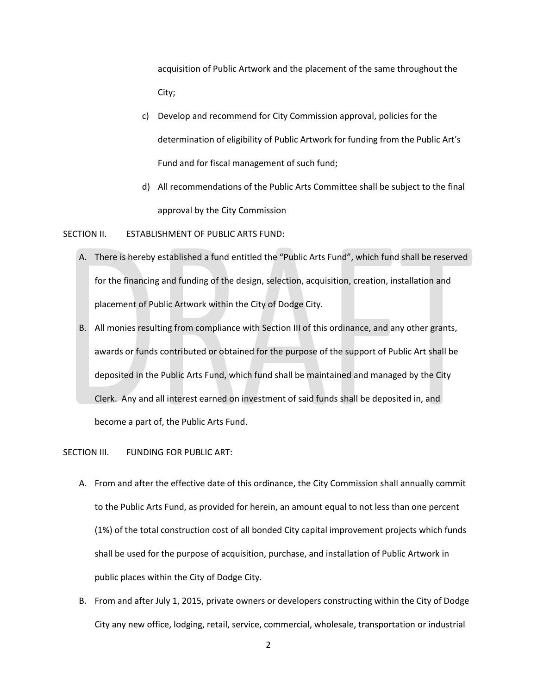acquisition of Public Artwork and the placement of the same throughout the City;

- c) Develop and recommend for City Commission approval, policies for the determination of eligibility of Public Artwork for funding from the Public Art's Fund and for fiscal management of such fund;
- d) All recommendations of the Public Arts Committee shall be subject to the final approval by the City Commission

SECTION II. ESTABLISHMENT OF PUBLIC ARTS FUND:

- A. There is hereby established a fund entitled the "Public Arts Fund", which fund shall be reserved for the financing and funding of the design, selection, acquisition, creation, installation and placement of Public Artwork within the City of Dodge City.
- B. All monies resulting from compliance with Section III of this ordinance, and any other grants, awards or funds contributed or obtained for the purpose of the support of Public Art shall be deposited in the Public Arts Fund, which fund shall be maintained and managed by the City Clerk. Any and all interest earned on investment of said funds shall be deposited in, and become a part of, the Public Arts Fund.

SECTION III. FUNDING FOR PUBLIC ART:

- A. From and after the effective date of this ordinance, the City Commission shall annually commit to the Public Arts Fund, as provided for herein, an amount equal to not less than one percent (1%) of the total construction cost of all bonded City capital improvement projects which funds shall be used for the purpose of acquisition, purchase, and installation of Public Artwork in public places within the City of Dodge City.
- B. From and after July 1, 2015, private owners or developers constructing within the City of Dodge City any new office, lodging, retail, service, commercial, wholesale, transportation or industrial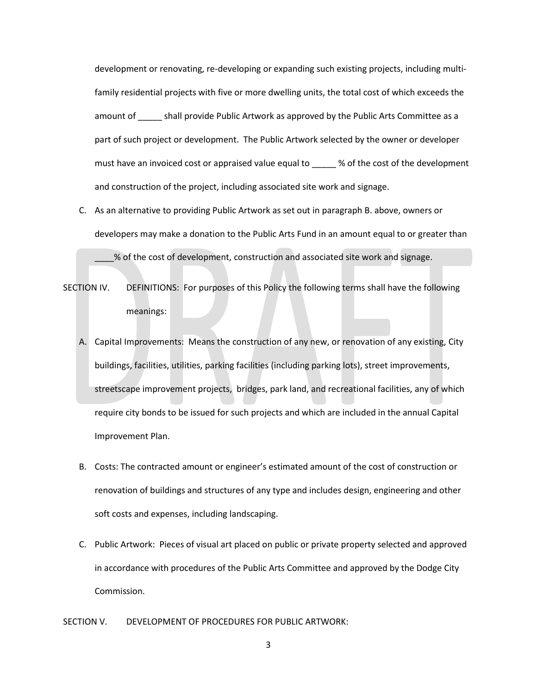development or renovating, re-developing or expanding such existing projects, including multifamily residential projects with five or more dwelling units, the total cost of which exceeds the amount of shall provide Public Artwork as approved by the Public Arts Committee as a part of such project or development. The Public Artwork selected by the owner or developer must have an invoiced cost or appraised value equal to \_\_\_\_\_ % of the cost of the development and construction of the project, including associated site work and signage.

C. As an alternative to providing Public Artwork as set out in paragraph B. above, owners or developers may make a donation to the Public Arts Fund in an amount equal to or greater than

\_\_\_\_% of the cost of development, construction and associated site work and signage.

- SECTION IV. DEFINITIONS: For purposes of this Policy the following terms shall have the following meanings:
	- A. Capital Improvements: Means the construction of any new, or renovation of any existing, City buildings, facilities, utilities, parking facilities (including parking lots), street improvements, streetscape improvement projects, bridges, park land, and recreational facilities, any of which require city bonds to be issued for such projects and which are included in the annual Capital Improvement Plan.
	- B. Costs: The contracted amount or engineer's estimated amount of the cost of construction or renovation of buildings and structures of any type and includes design, engineering and other soft costs and expenses, including landscaping.
	- C. Public Artwork: Pieces of visual art placed on public or private property selected and approved in accordance with procedures of the Public Arts Committee and approved by the Dodge City Commission.

SECTION V. DEVELOPMENT OF PROCEDURES FOR PUBLIC ARTWORK:

3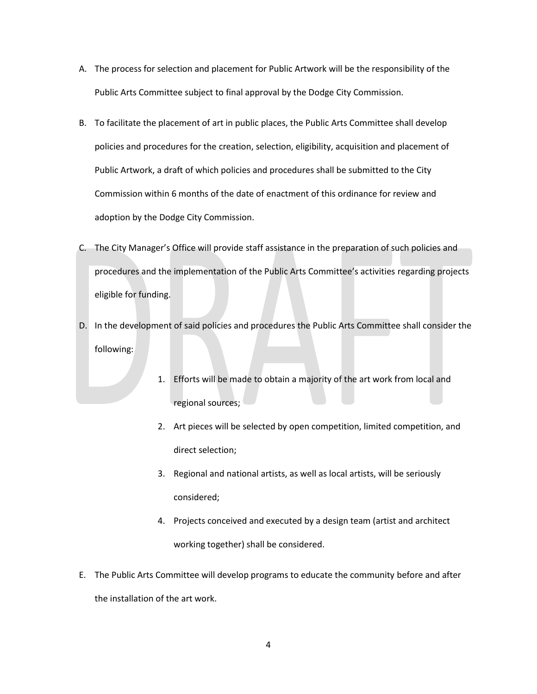- A. The process for selection and placement for Public Artwork will be the responsibility of the Public Arts Committee subject to final approval by the Dodge City Commission.
- B. To facilitate the placement of art in public places, the Public Arts Committee shall develop policies and procedures for the creation, selection, eligibility, acquisition and placement of Public Artwork, a draft of which policies and procedures shall be submitted to the City Commission within 6 months of the date of enactment of this ordinance for review and adoption by the Dodge City Commission.
- C. The City Manager's Office will provide staff assistance in the preparation of such policies and procedures and the implementation of the Public Arts Committee's activities regarding projects eligible for funding.
- D. In the development of said policies and procedures the Public Arts Committee shall consider the following:
	- 1. Efforts will be made to obtain a majority of the art work from local and regional sources;
	- 2. Art pieces will be selected by open competition, limited competition, and direct selection;
	- 3. Regional and national artists, as well as local artists, will be seriously considered;
	- 4. Projects conceived and executed by a design team (artist and architect working together) shall be considered.
- E. The Public Arts Committee will develop programs to educate the community before and after the installation of the art work.